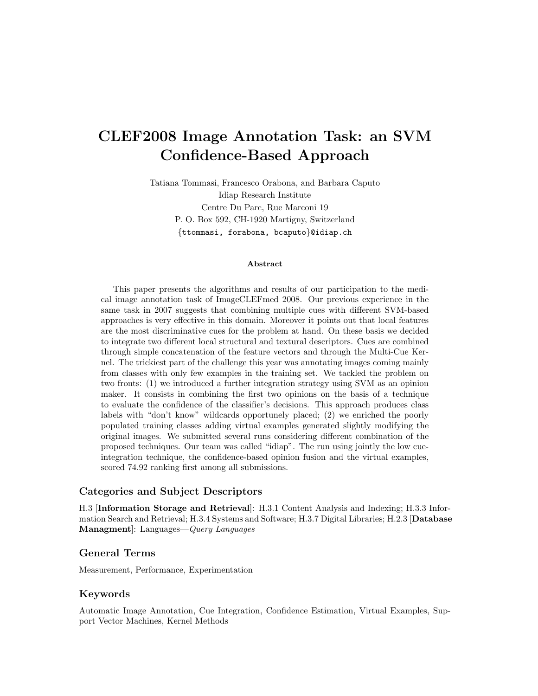# CLEF2008 Image Annotation Task: an SVM Confidence-Based Approach

Tatiana Tommasi, Francesco Orabona, and Barbara Caputo Idiap Research Institute Centre Du Parc, Rue Marconi 19 P. O. Box 592, CH-1920 Martigny, Switzerland {ttommasi, forabona, bcaputo}@idiap.ch

#### Abstract

This paper presents the algorithms and results of our participation to the medical image annotation task of ImageCLEFmed 2008. Our previous experience in the same task in 2007 suggests that combining multiple cues with different SVM-based approaches is very effective in this domain. Moreover it points out that local features are the most discriminative cues for the problem at hand. On these basis we decided to integrate two different local structural and textural descriptors. Cues are combined through simple concatenation of the feature vectors and through the Multi-Cue Kernel. The trickiest part of the challenge this year was annotating images coming mainly from classes with only few examples in the training set. We tackled the problem on two fronts: (1) we introduced a further integration strategy using SVM as an opinion maker. It consists in combining the first two opinions on the basis of a technique to evaluate the confidence of the classifier's decisions. This approach produces class labels with "don't know" wildcards opportunely placed; (2) we enriched the poorly populated training classes adding virtual examples generated slightly modifying the original images. We submitted several runs considering different combination of the proposed techniques. Our team was called "idiap". The run using jointly the low cueintegration technique, the confidence-based opinion fusion and the virtual examples, scored 74.92 ranking first among all submissions.

#### Categories and Subject Descriptors

H.3 [Information Storage and Retrieval]: H.3.1 Content Analysis and Indexing; H.3.3 Information Search and Retrieval; H.3.4 Systems and Software; H.3.7 Digital Libraries; H.2.3 [Database Managment]: Languages—Query Languages

#### General Terms

Measurement, Performance, Experimentation

#### Keywords

Automatic Image Annotation, Cue Integration, Confidence Estimation, Virtual Examples, Support Vector Machines, Kernel Methods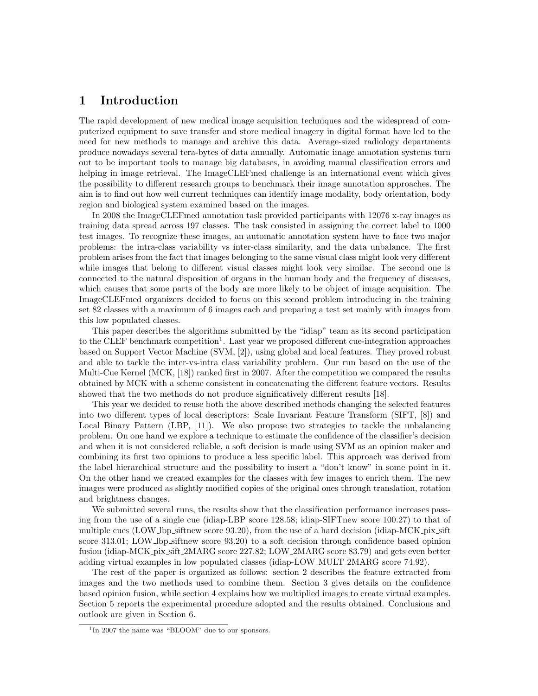## 1 Introduction

The rapid development of new medical image acquisition techniques and the widespread of computerized equipment to save transfer and store medical imagery in digital format have led to the need for new methods to manage and archive this data. Average-sized radiology departments produce nowadays several tera-bytes of data annually. Automatic image annotation systems turn out to be important tools to manage big databases, in avoiding manual classification errors and helping in image retrieval. The ImageCLEF med challenge is an international event which gives the possibility to different research groups to benchmark their image annotation approaches. The aim is to find out how well current techniques can identify image modality, body orientation, body region and biological system examined based on the images.

In 2008 the ImageCLEFmed annotation task provided participants with 12076 x-ray images as training data spread across 197 classes. The task consisted in assigning the correct label to 1000 test images. To recognize these images, an automatic annotation system have to face two major problems: the intra-class variability vs inter-class similarity, and the data unbalance. The first problem arises from the fact that images belonging to the same visual class might look very different while images that belong to different visual classes might look very similar. The second one is connected to the natural disposition of organs in the human body and the frequency of diseases, which causes that some parts of the body are more likely to be object of image acquisition. The ImageCLEFmed organizers decided to focus on this second problem introducing in the training set 82 classes with a maximum of 6 images each and preparing a test set mainly with images from this low populated classes.

This paper describes the algorithms submitted by the "idiap" team as its second participation to the CLEF benchmark competition<sup>1</sup>. Last year we proposed different cue-integration approaches based on Support Vector Machine (SVM, [2]), using global and local features. They proved robust and able to tackle the inter-vs-intra class variability problem. Our run based on the use of the Multi-Cue Kernel (MCK, [18]) ranked first in 2007. After the competition we compared the results obtained by MCK with a scheme consistent in concatenating the different feature vectors. Results showed that the two methods do not produce significatively different results [18].

This year we decided to reuse both the above described methods changing the selected features into two different types of local descriptors: Scale Invariant Feature Transform (SIFT, [8]) and Local Binary Pattern (LBP, [11]). We also propose two strategies to tackle the unbalancing problem. On one hand we explore a technique to estimate the confidence of the classifier's decision and when it is not considered reliable, a soft decision is made using SVM as an opinion maker and combining its first two opinions to produce a less specific label. This approach was derived from the label hierarchical structure and the possibility to insert a "don't know" in some point in it. On the other hand we created examples for the classes with few images to enrich them. The new images were produced as slightly modified copies of the original ones through translation, rotation and brightness changes.

We submitted several runs, the results show that the classification performance increases passing from the use of a single cue (idiap-LBP score 128.58; idiap-SIFTnew score 100.27) to that of multiple cues (LOW\_lbp\_siftnew score 93.20), from the use of a hard decision (idiap-MCK\_pix\_sift score 313.01; LOW lbp siftnew score 93.20) to a soft decision through confidence based opinion fusion (idiap-MCK pix sift 2MARG score 227.82; LOW 2MARG score 83.79) and gets even better adding virtual examples in low populated classes (idiap-LOW MULT 2MARG score 74.92).

The rest of the paper is organized as follows: section 2 describes the feature extracted from images and the two methods used to combine them. Section 3 gives details on the confidence based opinion fusion, while section 4 explains how we multiplied images to create virtual examples. Section 5 reports the experimental procedure adopted and the results obtained. Conclusions and outlook are given in Section 6.

<sup>&</sup>lt;sup>1</sup>In 2007 the name was "BLOOM" due to our sponsors.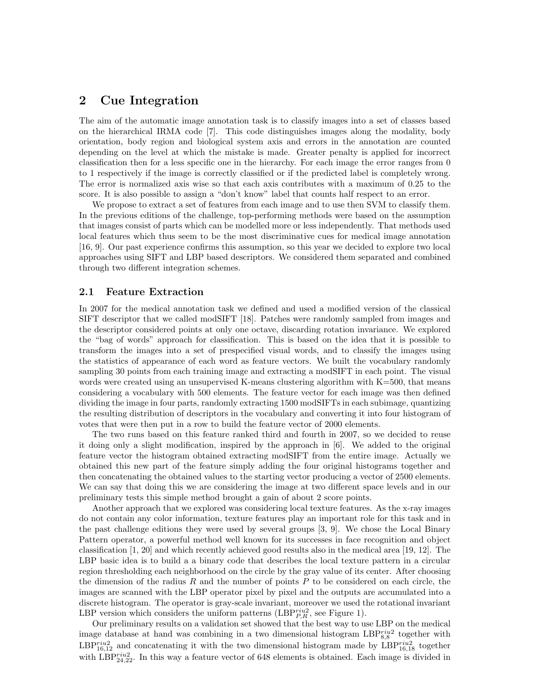## 2 Cue Integration

The aim of the automatic image annotation task is to classify images into a set of classes based on the hierarchical IRMA code [7]. This code distinguishes images along the modality, body orientation, body region and biological system axis and errors in the annotation are counted depending on the level at which the mistake is made. Greater penalty is applied for incorrect classification then for a less specific one in the hierarchy. For each image the error ranges from 0 to 1 respectively if the image is correctly classified or if the predicted label is completely wrong. The error is normalized axis wise so that each axis contributes with a maximum of 0.25 to the score. It is also possible to assign a "don't know" label that counts half respect to an error.

We propose to extract a set of features from each image and to use then SVM to classify them. In the previous editions of the challenge, top-performing methods were based on the assumption that images consist of parts which can be modelled more or less independently. That methods used local features which thus seem to be the most discriminative cues for medical image annotation [16, 9]. Our past experience confirms this assumption, so this year we decided to explore two local approaches using SIFT and LBP based descriptors. We considered them separated and combined through two different integration schemes.

#### 2.1 Feature Extraction

In 2007 for the medical annotation task we defined and used a modified version of the classical SIFT descriptor that we called modSIFT [18]. Patches were randomly sampled from images and the descriptor considered points at only one octave, discarding rotation invariance. We explored the "bag of words" approach for classification. This is based on the idea that it is possible to transform the images into a set of prespecified visual words, and to classify the images using the statistics of appearance of each word as feature vectors. We built the vocabulary randomly sampling 30 points from each training image and extracting a modSIFT in each point. The visual words were created using an unsupervised K-means clustering algorithm with  $K=500$ , that means considering a vocabulary with 500 elements. The feature vector for each image was then defined dividing the image in four parts, randomly extracting 1500 modSIFTs in each subimage, quantizing the resulting distribution of descriptors in the vocabulary and converting it into four histogram of votes that were then put in a row to build the feature vector of 2000 elements.

The two runs based on this feature ranked third and fourth in 2007, so we decided to reuse it doing only a slight modification, inspired by the approach in [6]. We added to the original feature vector the histogram obtained extracting modSIFT from the entire image. Actually we obtained this new part of the feature simply adding the four original histograms together and then concatenating the obtained values to the starting vector producing a vector of 2500 elements. We can say that doing this we are considering the image at two different space levels and in our preliminary tests this simple method brought a gain of about 2 score points.

Another approach that we explored was considering local texture features. As the x-ray images do not contain any color information, texture features play an important role for this task and in the past challenge editions they were used by several groups [3, 9]. We chose the Local Binary Pattern operator, a powerful method well known for its successes in face recognition and object classification [1, 20] and which recently achieved good results also in the medical area [19, 12]. The LBP basic idea is to build a a binary code that describes the local texture pattern in a circular region thresholding each neighborhood on the circle by the gray value of its center. After choosing the dimension of the radius R and the number of points P to be considered on each circle, the images are scanned with the LBP operator pixel by pixel and the outputs are accumulated into a discrete histogram. The operator is gray-scale invariant, moreover we used the rotational invariant LBP version which considers the uniform patterns (LBP $_{P,R}^{riu2}$ , see Figure 1).

Our preliminary results on a validation set showed that the best way to use LBP on the medical image database at hand was combining in a two dimensional histogram  $LBP_{8,8}^{riu2}$  together with LBP<sup>riu2</sup><sub>16,12</sub> and concatenating it with the two dimensional histogram made by LBP<sup>riu2</sup><sub>16,18</sub> together with LBP $_{24,22}^{riu2}$ . In this way a feature vector of 648 elements is obtained. Each image is divided in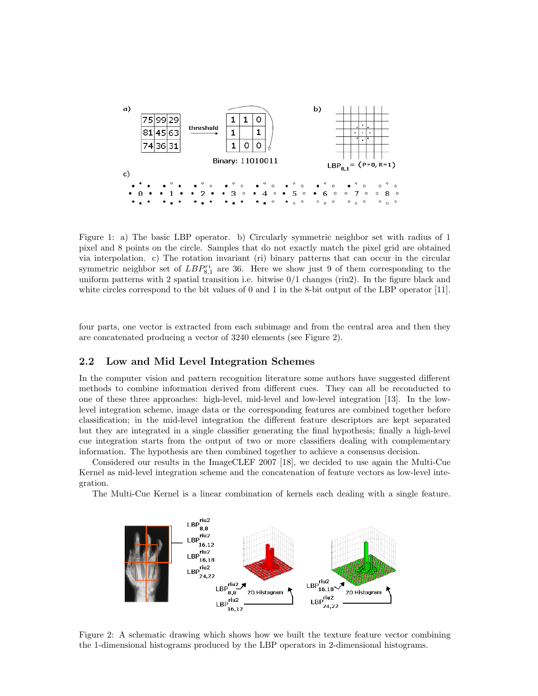

Figure 1: a) The basic LBP operator. b) Circularly symmetric neighbor set with radius of 1 pixel and 8 points on the circle. Samples that do not exactly match the pixel grid are obtained via interpolation. c) The rotation invariant (ri) binary patterns that can occur in the circular symmetric neighbor set of  $LBP_{8,1}^{ri}$  are 36. Here we show just 9 of them corresponding to the uniform patterns with 2 spatial transition i.e. bitwise  $0/1$  changes (riu2). In the figure black and white circles correspond to the bit values of 0 and 1 in the 8-bit output of the LBP operator [11].

four parts, one vector is extracted from each subimage and from the central area and then they are concatenated producing a vector of 3240 elements (see Figure 2).

### 2.2 Low and Mid Level Integration Schemes

In the computer vision and pattern recognition literature some authors have suggested different methods to combine information derived from different cues. They can all be reconducted to one of these three approaches: high-level, mid-level and low-level integration [13]. In the lowlevel integration scheme, image data or the corresponding features are combined together before classification; in the mid-level integration the different feature descriptors are kept separated but they are integrated in a single classifier generating the final hypothesis; finally a high-level cue integration starts from the output of two or more classifiers dealing with complementary information. The hypothesis are then combined together to achieve a consensus decision.

Considered our results in the ImageCLEF 2007 [18], we decided to use again the Multi-Cue Kernel as mid-level integration scheme and the concatenation of feature vectors as low-level integration.

The Multi-Cue Kernel is a linear combination of kernels each dealing with a single feature.



Figure 2: A schematic drawing which shows how we built the texture feature vector combining the 1-dimensional histograms produced by the LBP operators in 2-dimensional histograms.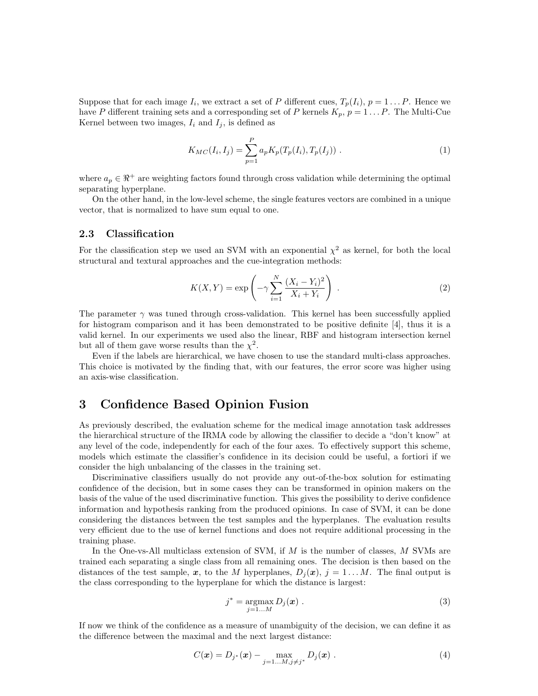Suppose that for each image  $I_i$ , we extract a set of P different cues,  $T_p(I_i)$ ,  $p = 1 \dots P$ . Hence we have P different training sets and a corresponding set of P kernels  $K_p$ ,  $p = 1 \dots P$ . The Multi-Cue Kernel between two images,  $I_i$  and  $I_j$ , is defined as

$$
K_{MC}(I_i, I_j) = \sum_{p=1}^{P} a_p K_p(T_p(I_i), T_p(I_j)) . \tag{1}
$$

where  $a_p \in \mathbb{R}^+$  are weighting factors found through cross validation while determining the optimal separating hyperplane.

On the other hand, in the low-level scheme, the single features vectors are combined in a unique vector, that is normalized to have sum equal to one.

#### 2.3 Classification

For the classification step we used an SVM with an exponential  $\chi^2$  as kernel, for both the local structural and textural approaches and the cue-integration methods:

$$
K(X,Y) = \exp\left(-\gamma \sum_{i=1}^{N} \frac{(X_i - Y_i)^2}{X_i + Y_i}\right).
$$
\n(2)

The parameter  $\gamma$  was tuned through cross-validation. This kernel has been successfully applied for histogram comparison and it has been demonstrated to be positive definite [4], thus it is a valid kernel. In our experiments we used also the linear, RBF and histogram intersection kernel but all of them gave worse results than the  $\chi^2$ .

Even if the labels are hierarchical, we have chosen to use the standard multi-class approaches. This choice is motivated by the finding that, with our features, the error score was higher using an axis-wise classification.

## 3 Confidence Based Opinion Fusion

As previously described, the evaluation scheme for the medical image annotation task addresses the hierarchical structure of the IRMA code by allowing the classifier to decide a "don't know" at any level of the code, independently for each of the four axes. To effectively support this scheme, models which estimate the classifier's confidence in its decision could be useful, a fortiori if we consider the high unbalancing of the classes in the training set.

Discriminative classifiers usually do not provide any out-of-the-box solution for estimating confidence of the decision, but in some cases they can be transformed in opinion makers on the basis of the value of the used discriminative function. This gives the possibility to derive confidence information and hypothesis ranking from the produced opinions. In case of SVM, it can be done considering the distances between the test samples and the hyperplanes. The evaluation results very efficient due to the use of kernel functions and does not require additional processing in the training phase.

In the One-vs-All multiclass extension of SVM, if  $M$  is the number of classes,  $M$  SVMs are trained each separating a single class from all remaining ones. The decision is then based on the distances of the test sample, x, to the M hyperplanes,  $D_i(x)$ ,  $j = 1...M$ . The final output is the class corresponding to the hyperplane for which the distance is largest:

$$
j^* = \operatorname*{argmax}_{j=1...M} D_j(\boldsymbol{x}) . \tag{3}
$$

If now we think of the confidence as a measure of unambiguity of the decision, we can define it as the difference between the maximal and the next largest distance:

$$
C(\boldsymbol{x}) = D_{j^*}(\boldsymbol{x}) - \max_{j=1...M, j \neq j^*} D_j(\boldsymbol{x}) . \qquad (4)
$$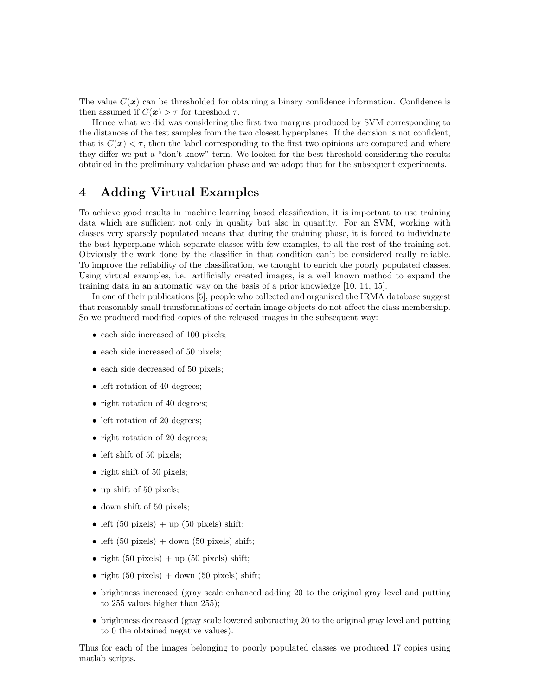The value  $C(\boldsymbol{x})$  can be thresholded for obtaining a binary confidence information. Confidence is then assumed if  $C(\mathbf{x}) > \tau$  for threshold  $\tau$ .

Hence what we did was considering the first two margins produced by SVM corresponding to the distances of the test samples from the two closest hyperplanes. If the decision is not confident, that is  $C(\mathbf{x}) < \tau$ , then the label corresponding to the first two opinions are compared and where they differ we put a "don't know" term. We looked for the best threshold considering the results obtained in the preliminary validation phase and we adopt that for the subsequent experiments.

## 4 Adding Virtual Examples

To achieve good results in machine learning based classification, it is important to use training data which are sufficient not only in quality but also in quantity. For an SVM, working with classes very sparsely populated means that during the training phase, it is forced to individuate the best hyperplane which separate classes with few examples, to all the rest of the training set. Obviously the work done by the classifier in that condition can't be considered really reliable. To improve the reliability of the classification, we thought to enrich the poorly populated classes. Using virtual examples, i.e. artificially created images, is a well known method to expand the training data in an automatic way on the basis of a prior knowledge [10, 14, 15].

In one of their publications [5], people who collected and organized the IRMA database suggest that reasonably small transformations of certain image objects do not affect the class membership. So we produced modified copies of the released images in the subsequent way:

- each side increased of 100 pixels;
- each side increased of 50 pixels;
- each side decreased of 50 pixels;
- left rotation of 40 degrees;
- right rotation of 40 degrees;
- left rotation of 20 degrees;
- right rotation of 20 degrees;
- left shift of 50 pixels;
- right shift of 50 pixels;
- up shift of 50 pixels;
- down shift of 50 pixels;
- left  $(50 \text{ pixels}) + \text{up} (50 \text{ pixels}) \text{ shift};$
- left  $(50 \text{ pixels}) + \text{down} (50 \text{ pixels}) \text{ shift};$
- right  $(50 \text{ pixels}) + \text{up} (50 \text{ pixels}) \text{ shift};$
- right  $(50 \text{ pixels}) + \text{down} (50 \text{ pixels}) \text{ shift};$
- brightness increased (gray scale enhanced adding 20 to the original gray level and putting to 255 values higher than 255);
- brightness decreased (gray scale lowered subtracting 20 to the original gray level and putting to 0 the obtained negative values).

Thus for each of the images belonging to poorly populated classes we produced 17 copies using matlab scripts.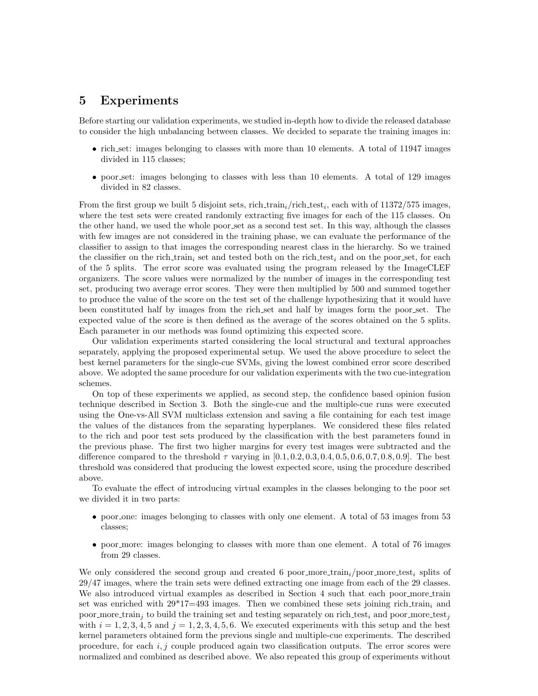## 5 Experiments

Before starting our validation experiments, we studied in-depth how to divide the released database to consider the high unbalancing between classes. We decided to separate the training images in:

- rich set: images belonging to classes with more than 10 elements. A total of 11947 images divided in 115 classes;
- poor set: images belonging to classes with less than 10 elements. A total of 129 images divided in 82 classes.

From the first group we built 5 disjoint sets, rich train<sub>i</sub>/rich test<sub>i</sub>, each with of  $11372/575$  images, where the test sets were created randomly extracting five images for each of the 115 classes. On the other hand, we used the whole poor set as a second test set. In this way, although the classes with few images are not considered in the training phase, we can evaluate the performance of the classifier to assign to that images the corresponding nearest class in the hierarchy. So we trained the classifier on the rich train<sub>i</sub> set and tested both on the rich test<sub>i</sub> and on the poor set, for each of the 5 splits. The error score was evaluated using the program released by the ImageCLEF organizers. The score values were normalized by the number of images in the corresponding test set, producing two average error scores. They were then multiplied by 500 and summed together to produce the value of the score on the test set of the challenge hypothesizing that it would have been constituted half by images from the rich set and half by images form the poor set. The expected value of the score is then defined as the average of the scores obtained on the 5 splits. Each parameter in our methods was found optimizing this expected score.

Our validation experiments started considering the local structural and textural approaches separately, applying the proposed experimental setup. We used the above procedure to select the best kernel parameters for the single-cue SVMs, giving the lowest combined error score described above. We adopted the same procedure for our validation experiments with the two cue-integration schemes.

On top of these experiments we applied, as second step, the confidence based opinion fusion technique described in Section 3. Both the single-cue and the multiple-cue runs were executed using the One-vs-All SVM multiclass extension and saving a file containing for each test image the values of the distances from the separating hyperplanes. We considered these files related to the rich and poor test sets produced by the classification with the best parameters found in the previous phase. The first two higher margins for every test images were subtracted and the difference compared to the threshold  $\tau$  varying in [0.1, 0.2, 0.3, 0.4, 0.5, 0.6, 0.7, 0.8, 0.9]. The best threshold was considered that producing the lowest expected score, using the procedure described above.

To evaluate the effect of introducing virtual examples in the classes belonging to the poor set we divided it in two parts:

- poor one: images belonging to classes with only one element. A total of 53 images from 53 classes;
- poor more: images belonging to classes with more than one element. A total of 76 images from 29 classes.

We only considered the second group and created 6 poor more train; poor more test, splits of 29/47 images, where the train sets were defined extracting one image from each of the 29 classes. We also introduced virtual examples as described in Section 4 such that each poor more train set was enriched with  $29*17=493$  images. Then we combined these sets joining rich train<sub>i</sub> and poor more train<sub>i</sub> to build the training set and testing separately on rich test<sub>i</sub> and poor more test<sub>i</sub> with  $i = 1, 2, 3, 4, 5$  and  $j = 1, 2, 3, 4, 5, 6$ . We executed experiments with this setup and the best kernel parameters obtained form the previous single and multiple-cue experiments. The described procedure, for each  $i, j$  couple produced again two classification outputs. The error scores were normalized and combined as described above. We also repeated this group of experiments without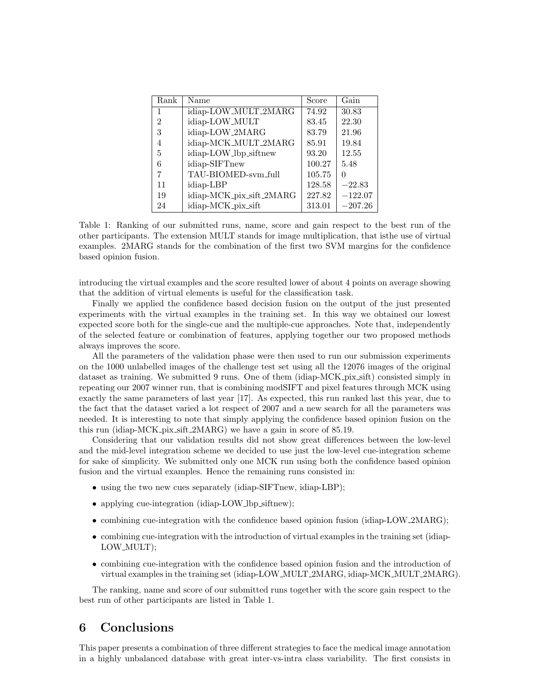| Rank           | Name                     | Score  | Gain      |
|----------------|--------------------------|--------|-----------|
| 1              | idiap-LOW_MULT_2MARG     | 74.92  | 30.83     |
| $\mathfrak{D}$ | idiap-LOW_MULT           | 83.45  | 22.30     |
| 3              | idiap-LOW_2MARG          | 83.79  | 21.96     |
| 4              | idiap-MCK_MULT_2MARG     | 85.91  | 19.84     |
| 5              | idiap-LOW_lbp_siftnew    | 93.20  | 12.55     |
| 6              | idiap-SIFTnew            | 100.27 | 5.48      |
|                | TAU-BIOMED-sym_full      | 105.75 |           |
| 11             | idiap-LBP                | 128.58 | $-22.83$  |
| 19             | idiap-MCK_pix_sift_2MARG | 227.82 | $-122.07$ |
| 24             | idiap-MCK_pix_sift       | 313.01 | $-207.26$ |

Table 1: Ranking of our submitted runs, name, score and gain respect to the best run of the other participants. The extension MULT stands for image multiplication, that isthe use of virtual examples. 2MARG stands for the combination of the first two SVM margins for the confidence based opinion fusion.

introducing the virtual examples and the score resulted lower of about 4 points on average showing that the addition of virtual elements is useful for the classification task.

Finally we applied the confidence based decision fusion on the output of the just presented experiments with the virtual examples in the training set. In this way we obtained our lowest expected score both for the single-cue and the multiple-cue approaches. Note that, independently of the selected feature or combination of features, applying together our two proposed methods always improves the score.

All the parameters of the validation phase were then used to run our submission experiments on the 1000 unlabelled images of the challenge test set using all the 12076 images of the original dataset as training. We submitted 9 runs. One of them (idiap-MCK pix sift) consisted simply in repeating our 2007 winner run, that is combining modSIFT and pixel features through MCK using exactly the same parameters of last year [17]. As expected, this run ranked last this year, due to the fact that the dataset varied a lot respect of 2007 and a new search for all the parameters was needed. It is interesting to note that simply applying the confidence based opinion fusion on the this run (idiap-MCK pix sift 2MARG) we have a gain in score of 85.19.

Considering that our validation results did not show great differences between the low-level and the mid-level integration scheme we decided to use just the low-level cue-integration scheme for sake of simplicity. We submitted only one MCK run using both the confidence based opinion fusion and the virtual examples. Hence the remaining runs consisted in:

- using the two new cues separately (idiap-SIFTnew, idiap-LBP);
- applying cue-integration (idiap-LOW\_lbp\_siftnew);
- combining cue-integration with the confidence based opinion fusion (idiap-LOW\_2MARG);
- combining cue-integration with the introduction of virtual examples in the training set (idiap-LOW MULT);
- combining cue-integration with the confidence based opinion fusion and the introduction of virtual examples in the training set (idiap-LOW MULT 2MARG, idiap-MCK MULT 2MARG).

The ranking, name and score of our submitted runs together with the score gain respect to the best run of other participants are listed in Table 1.

## 6 Conclusions

This paper presents a combination of three different strategies to face the medical image annotation in a highly unbalanced database with great inter-vs-intra class variability. The first consists in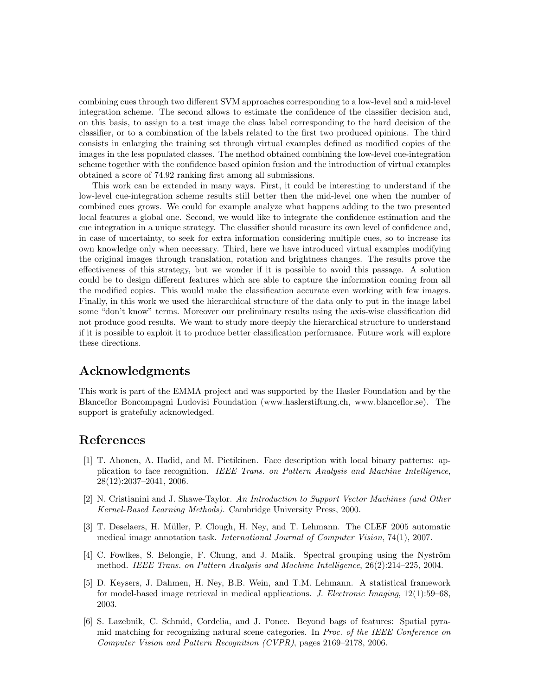combining cues through two different SVM approaches corresponding to a low-level and a mid-level integration scheme. The second allows to estimate the confidence of the classifier decision and, on this basis, to assign to a test image the class label corresponding to the hard decision of the classifier, or to a combination of the labels related to the first two produced opinions. The third consists in enlarging the training set through virtual examples defined as modified copies of the images in the less populated classes. The method obtained combining the low-level cue-integration scheme together with the confidence based opinion fusion and the introduction of virtual examples obtained a score of 74.92 ranking first among all submissions.

This work can be extended in many ways. First, it could be interesting to understand if the low-level cue-integration scheme results still better then the mid-level one when the number of combined cues grows. We could for example analyze what happens adding to the two presented local features a global one. Second, we would like to integrate the confidence estimation and the cue integration in a unique strategy. The classifier should measure its own level of confidence and, in case of uncertainty, to seek for extra information considering multiple cues, so to increase its own knowledge only when necessary. Third, here we have introduced virtual examples modifying the original images through translation, rotation and brightness changes. The results prove the effectiveness of this strategy, but we wonder if it is possible to avoid this passage. A solution could be to design different features which are able to capture the information coming from all the modified copies. This would make the classification accurate even working with few images. Finally, in this work we used the hierarchical structure of the data only to put in the image label some "don't know" terms. Moreover our preliminary results using the axis-wise classification did not produce good results. We want to study more deeply the hierarchical structure to understand if it is possible to exploit it to produce better classification performance. Future work will explore these directions.

## Acknowledgments

This work is part of the EMMA project and was supported by the Hasler Foundation and by the Blanceflor Boncompagni Ludovisi Foundation (www.haslerstiftung.ch, www.blanceflor.se). The support is gratefully acknowledged.

## References

- [1] T. Ahonen, A. Hadid, and M. Pietikinen. Face description with local binary patterns: application to face recognition. IEEE Trans. on Pattern Analysis and Machine Intelligence, 28(12):2037–2041, 2006.
- [2] N. Cristianini and J. Shawe-Taylor. An Introduction to Support Vector Machines (and Other Kernel-Based Learning Methods). Cambridge University Press, 2000.
- [3] T. Deselaers, H. Müller, P. Clough, H. Ney, and T. Lehmann. The CLEF 2005 automatic medical image annotation task. International Journal of Computer Vision, 74(1), 2007.
- [4] C. Fowlkes, S. Belongie, F. Chung, and J. Malik. Spectral grouping using the Nyström method. IEEE Trans. on Pattern Analysis and Machine Intelligence, 26(2):214–225, 2004.
- [5] D. Keysers, J. Dahmen, H. Ney, B.B. Wein, and T.M. Lehmann. A statistical framework for model-based image retrieval in medical applications. J. Electronic Imaging, 12(1):59–68, 2003.
- [6] S. Lazebnik, C. Schmid, Cordelia, and J. Ponce. Beyond bags of features: Spatial pyramid matching for recognizing natural scene categories. In Proc. of the IEEE Conference on Computer Vision and Pattern Recognition (CVPR), pages 2169–2178, 2006.